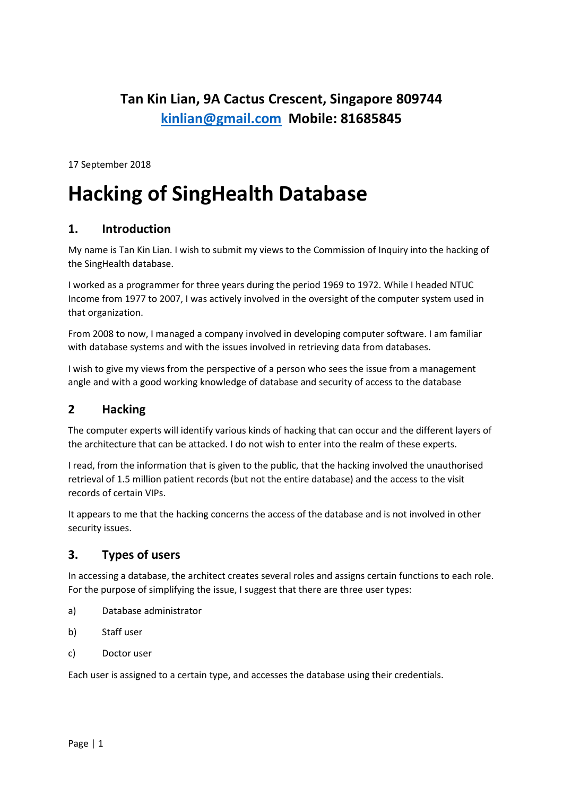# **Tan Kin Lian, 9A Cactus Crescent, Singapore 809744 [kinlian@gmail.com](mailto:kinlian@gmail.com) Mobile: 81685845**

17 September 2018

# **Hacking of SingHealth Database**

## **1. Introduction**

My name is Tan Kin Lian. I wish to submit my views to the Commission of Inquiry into the hacking of the SingHealth database.

I worked as a programmer for three years during the period 1969 to 1972. While I headed NTUC Income from 1977 to 2007, I was actively involved in the oversight of the computer system used in that organization.

From 2008 to now, I managed a company involved in developing computer software. I am familiar with database systems and with the issues involved in retrieving data from databases.

I wish to give my views from the perspective of a person who sees the issue from a management angle and with a good working knowledge of database and security of access to the database

## **2 Hacking**

The computer experts will identify various kinds of hacking that can occur and the different layers of the architecture that can be attacked. I do not wish to enter into the realm of these experts.

I read, from the information that is given to the public, that the hacking involved the unauthorised retrieval of 1.5 million patient records (but not the entire database) and the access to the visit records of certain VIPs.

It appears to me that the hacking concerns the access of the database and is not involved in other security issues.

## **3. Types of users**

In accessing a database, the architect creates several roles and assigns certain functions to each role. For the purpose of simplifying the issue, I suggest that there are three user types:

- a) Database administrator
- b) Staff user
- c) Doctor user

Each user is assigned to a certain type, and accesses the database using their credentials.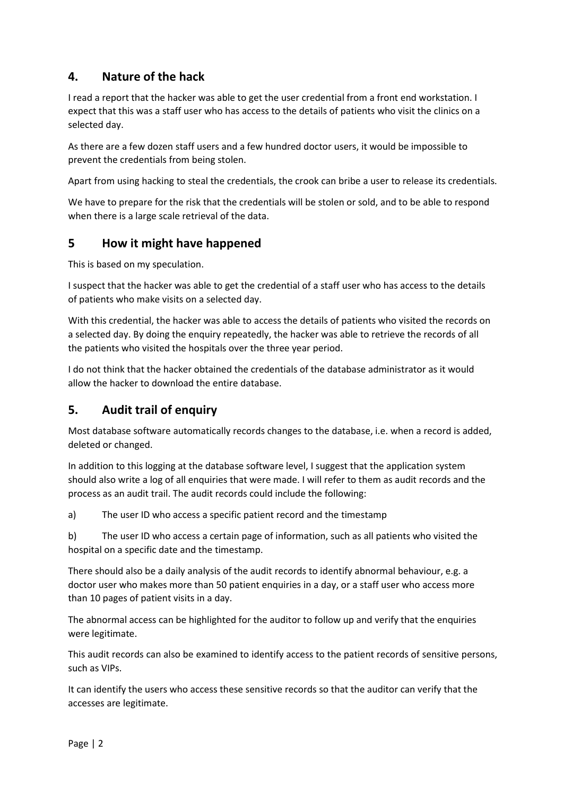# **4. Nature of the hack**

I read a report that the hacker was able to get the user credential from a front end workstation. I expect that this was a staff user who has access to the details of patients who visit the clinics on a selected day.

As there are a few dozen staff users and a few hundred doctor users, it would be impossible to prevent the credentials from being stolen.

Apart from using hacking to steal the credentials, the crook can bribe a user to release its credentials.

We have to prepare for the risk that the credentials will be stolen or sold, and to be able to respond when there is a large scale retrieval of the data.

## **5 How it might have happened**

This is based on my speculation.

I suspect that the hacker was able to get the credential of a staff user who has access to the details of patients who make visits on a selected day.

With this credential, the hacker was able to access the details of patients who visited the records on a selected day. By doing the enquiry repeatedly, the hacker was able to retrieve the records of all the patients who visited the hospitals over the three year period.

I do not think that the hacker obtained the credentials of the database administrator as it would allow the hacker to download the entire database.

## **5. Audit trail of enquiry**

Most database software automatically records changes to the database, i.e. when a record is added, deleted or changed.

In addition to this logging at the database software level, I suggest that the application system should also write a log of all enquiries that were made. I will refer to them as audit records and the process as an audit trail. The audit records could include the following:

a) The user ID who access a specific patient record and the timestamp

b) The user ID who access a certain page of information, such as all patients who visited the hospital on a specific date and the timestamp.

There should also be a daily analysis of the audit records to identify abnormal behaviour, e.g. a doctor user who makes more than 50 patient enquiries in a day, or a staff user who access more than 10 pages of patient visits in a day.

The abnormal access can be highlighted for the auditor to follow up and verify that the enquiries were legitimate.

This audit records can also be examined to identify access to the patient records of sensitive persons, such as VIPs.

It can identify the users who access these sensitive records so that the auditor can verify that the accesses are legitimate.